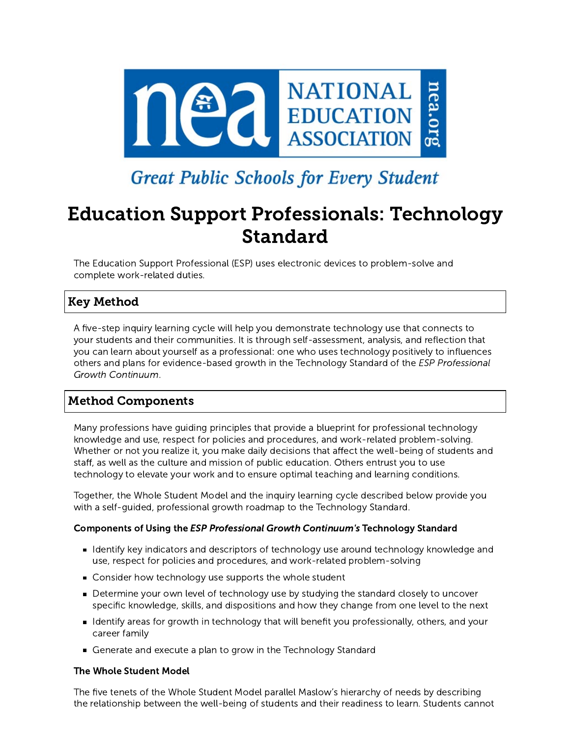

# **Great Public Schools for Every Student**

# Education Support Professionals: Technology Standard

The Education Support Professional (ESP) uses electronic devices to problem-solve and complete work-related duties.

# Key Method

A five-step inquiry learning cycle will help you demonstrate technology use that connects to your students and their communities. It is through self-assessment, analysis, and reflection that you can learn about yourself as a professional: one who uses technology positively to influences others and plans for evidence-based growth in the Technology Standard of the ESP Professional Growth Continuum.

# Method Components

Many professions have guiding principles that provide a blueprint for professional technology knowledge and use, respect for policies and procedures, and work-related problem-solving. Whether or not you realize it, you make daily decisions that affect the well-being of students and staff, as well as the culture and mission of public education. Others entrust you to use technology to elevate your work and to ensure optimal teaching and learning conditions.

Together, the Whole Student Model and the inquiry learning cycle described below provide you with a self-guided, professional growth roadmap to the Technology Standard.

## Components of Using the ESP Professional Growth Continuum's Technology Standard

- I dentify key indicators and descriptors of technology use around technology knowledge and use, respect for policies and procedures, and work-related problem-solving
- Consider how technology use supports the whole student
- Determine your own level of technology use by studying the standard closely to uncover specific knowledge, skills, and dispositions and how they change from one level to the next
- I dentify areas for growth in technology that will benefit you professionally, others, and your career family
- Generate and execute a plan to grow in the Technology Standard

#### The Whole Student Model

The five tenets of the Whole Student Model parallel Maslow's hierarchy of needs by describing the relationship between the well-being of students and their readiness to learn. Students cannot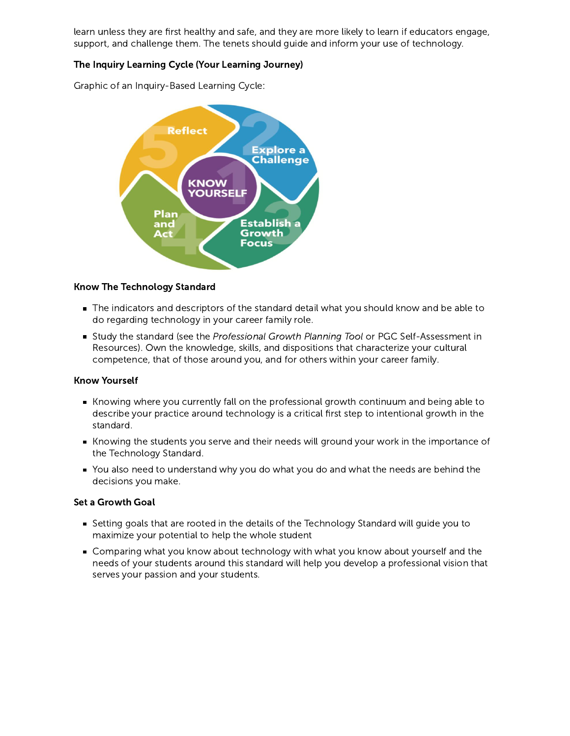learn unless they are first healthy and safe, and they are more likely to learn if educators engage, support, and challenge them. The tenets should guide and inform your use of technology.

## The Inquiry Learning Cycle (Your Learning Journey)

Graphic of an Inquiry-Based Learning Cycle:



#### Know The Technology Standard

- The indicators and descriptors of the standard detail what you should know and be able to do regarding technology in your career family role.
- Study the standard (see the Professional Growth Planning Tool or PGC Self-Assessment in Resources). Own the knowledge, skills, and dispositions that characterize your cultural competence, that of those around you, and for others within your career family.

#### Know Yourself

- Knowing where you currently fall on the professional growth continuum and being able to describe your practice around technology is a critical first step to intentional growth in the standard.
- Knowing the students you serve and their needs will ground your work in the importance of the Technology Standard.
- You also need to understand why you do what you do and what the needs are behind the decisions you make.

#### Set a Growth Goal

- Setting goals that are rooted in the details of the Technology Standard will guide you to maximize your potential to help the whole student
- Comparing what you know about technology with what you know about yourself and the needs of your students around this standard will help you develop a professional vision that serves your passion and your students.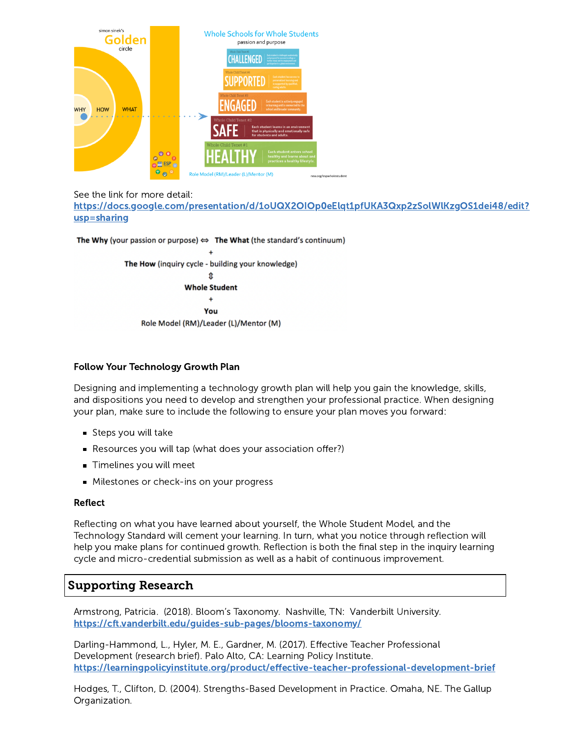

#### See the link for more detail:

[https://docs.google.com/presentation/d/1oUQX2OIOp0eElqt1pfUKA3Qxp2zSolWlKzgOS1dei48/edit?](https://docs.google.com/presentation/d/1oUQX2OIOp0eElqt1pfUKA3Qxp2zSolWlKzgOS1dei48/edit?usp=sharing) usp=sharing

The Why (your passion or purpose)  $\Leftrightarrow$  The What (the standard's continuum)



## Follow Your Technology Growth Plan

Designing and implementing a technology growth plan will help you gain the knowledge, skills, and dispositions you need to develop and strengthen your professional practice. When designing your plan, make sure to include the following to ensure your plan moves you forward:

- Steps you will take
- Resources you will tap (what does your association offer?)
- **Timelines you will meet**
- **Milestones or check-ins on your progress**

#### Reflect

Reflecting on what you have learned about yourself, the Whole Student Model, and the Technology Standard will cement your learning. In turn, what you notice through reflection will help you make plans for continued growth. Reflection is both the final step in the inquiry learning cycle and micro-credential submission as well as a habit of continuous improvement.

# Supporting Research

Armstrong, Patricia. (2018). Bloom's Taxonomy. Nashville, TN: Vanderbilt University. <https://cft.vanderbilt.edu/guides-sub-pages/blooms-taxonomy/>

Darling-Hammond, L., Hyler, M. E., Gardner, M. (2017). Effective Teacher Professional Development (research brief). Palo Alto, CA: Learning Policy Institute. <https://learningpolicyinstitute.org/product/effective-teacher-professional-development-brief>

Hodges, T., Clifton, D. (2004). Strengths-Based Development in Practice. Omaha, NE. The Gallup Organization.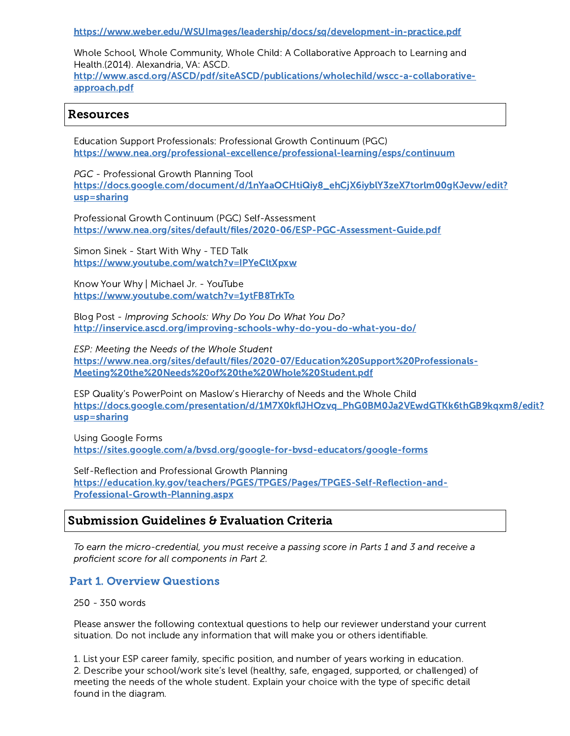<https://www.weber.edu/WSUImages/leadership/docs/sq/development-in-practice.pdf>

Whole School, Whole Community, Whole Child: A Collaborative Approach to Learning and Health.(2014). Alexandria, VA: ASCD. [http://www.ascd.org/ASCD/pdf/siteASCD/publications/wholechild/wscc-a-collaborative-](http://www.ascd.org/ASCD/pdf/siteASCD/publications/wholechild/wscc-a-collaborative-approach.pdf)

## Resources

approach.pdf

Education Support Professionals: Professional Growth Continuum (PGC) <https://www.nea.org/professional-excellence/professional-learning/esps/continuum>

PGC - Professional Growth Planning Tool [https://docs.google.com/document/d/1nYaaOCHtiQiy8\\_ehCjX6iyblY3zeX7torlm00gKJevw/edit?](https://docs.google.com/document/d/1nYaaOCHtiQiy8_ehCjX6iyblY3zeX7torlm00gKJevw/edit?usp=sharing) usp=sharing

Professional Growth Continuum (PGC) Self-Assessment <https://www.nea.org/sites/default/files/2020-06/ESP-PGC-Assessment-Guide.pdf>

Simon Sinek - Start With Why - TED Talk <https://www.youtube.com/watch?v=IPYeCltXpxw>

Know Your Why | Michael Jr. - YouTube <https://www.youtube.com/watch?v=1ytFB8TrkTo>

Blog Post - Improving Schools: Why Do You Do What You Do? <http://inservice.ascd.org/improving-schools-why-do-you-do-what-you-do/>

ESP: Meeting the Needs of the Whole Student [https://www.nea.org/sites/default/files/2020-07/Education%20Support%20Professionals-](https://www.nea.org/sites/default/files/2020-07/Education%20Support%20Professionals-Meeting%20the%20Needs%20of%20the%20Whole%20Student.pdf)Meeting%20the%20Needs%20of%20the%20Whole%20Student.pdf

ESP Quality's PowerPoint on Maslow's Hierarchy of Needs and the Whole Child [https://docs.google.com/presentation/d/1M7X0kflJHOzvq\\_PhG0BM0Ja2VEwdGTKk6thGB9kqxm8/edit?](https://docs.google.com/presentation/d/1M7X0kflJHOzvq_PhG0BM0Ja2VEwdGTKk6thGB9kqxm8/edit?usp=sharing) usp=sharing

Using Google Forms <https://sites.google.com/a/bvsd.org/google-for-bvsd-educators/google-forms>

Self-Reflection and Professional Growth Planning [https://education.ky.gov/teachers/PGES/TPGES/Pages/TPGES-Self-Reflection-and-](https://education.ky.gov/teachers/PGES/TPGES/Pages/TPGES-Self-Reflection-and-Professional-Growth-Planning.aspx)Professional-Growth-Planning.aspx

## Submission Guidelines & Evaluation Criteria

To earn the micro-credential, you must receive a passing score in Parts 1 and 3 and receive a proficient score for all components in Part 2.

## Part 1. Overview Questions

250 - 350 words

Please answer the following contextual questions to help our reviewer understand your current situation. Do not include any information that will make you or others identifiable.

1. List your ESP career family, specific position, and number of years working in education. 2. Describe your school/work site's level (healthy, safe, engaged, supported, or challenged) of meeting the needs of the whole student. Explain your choice with the type of specific detail found in the diagram.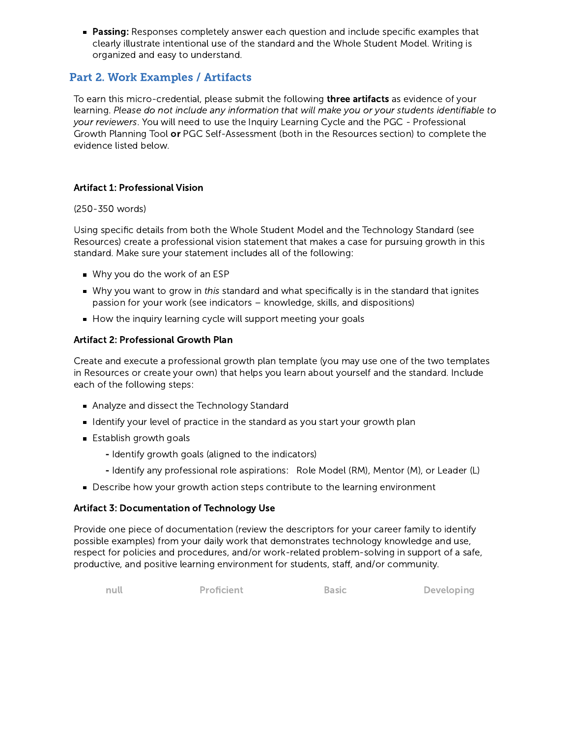**Passing:** Responses completely answer each question and include specific examples that clearly illustrate intentional use of the standard and the Whole Student Model. Writing is organized and easy to understand.

# Part 2. Work Examples / Artifacts

To earn this micro-credential, please submit the following **three artifacts** as evidence of your learning. Please do not include any information that will make you or your students identifiable to your reviewers. You will need to use the Inquiry Learning Cycle and the PGC - Professional Growth Planning Tool or PGC Self-Assessment (both in the Resources section) to complete the evidence listed below.

## Artifact 1: Professional Vision

#### (250-350 words)

Using specific details from both the Whole Student Model and the Technology Standard (see Resources) create a professional vision statement that makes a case for pursuing growth in this standard. Make sure your statement includes all of the following:

- Why you do the work of an ESP
- Why you want to grow in this standard and what specifically is in the standard that ignites passion for your work (see indicators – knowledge, skills, and dispositions)
- $\blacksquare$  How the inquiry learning cycle will support meeting your goals

## Artifact 2: Professional Growth Plan

Create and execute a professional growth plan template (you may use one of the two templates in Resources or create your own) that helps you learn about yourself and the standard. Include each of the following steps:

- Analyze and dissect the Technology Standard
- I dentify your level of practice in the standard as you start your growth plan
- **Establish growth goals** 
	- Identify growth goals (aligned to the indicators)
	- Identify any professional role aspirations: Role Model (RM), Mentor (M), or Leader (L)
- Describe how your growth action steps contribute to the learning environment

#### Artifact 3: Documentation of Technology Use

Provide one piece of documentation (review the descriptors for your career family to identify possible examples) from your daily work that demonstrates technology knowledge and use, respect for policies and procedures, and/or work-related problem-solving in support of a safe, productive, and positive learning environment for students, staff, and/or community.

null **Proficient Basic Developing**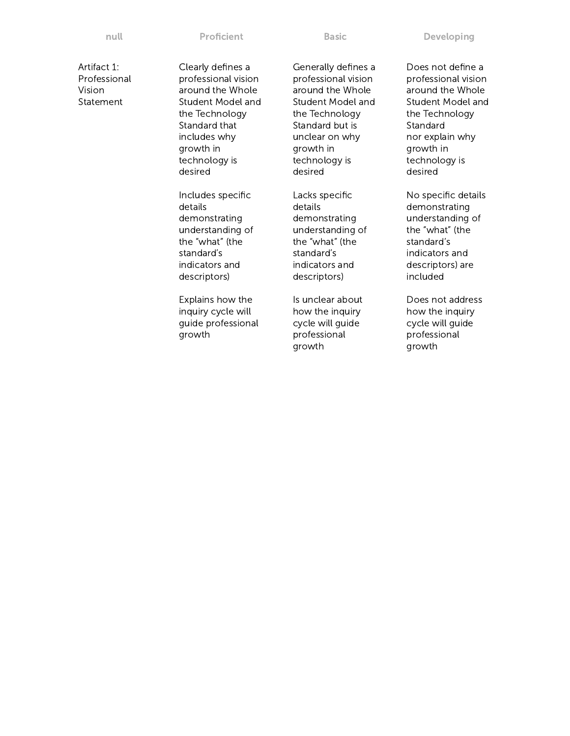null **Proficient Basic Developing** 

Artifact 1: Professional Vision Statement

Clearly defines a professional vision around the Whole Student Model and the Technology Standard that includes why growth in technology is desired

Includes specific details demonstrating understanding of the "what" (the standard's indicators and descriptors)

Explains how the inquiry cycle will guide professional growth

Generally defines a professional vision around the Whole Student Model and the Technology Standard but is unclear on why growth in technology is desired

Lacks specific details demonstrating understanding of the "what" (the standard's indicators and descriptors)

Is unclear about how the inquiry cycle will guide professional growth

Does not define a professional vision around the Whole Student Model and the Technology Standard nor explain why growth in technology is desired

No specific details demonstrating understanding of the "what" (the standard's indicators and descriptors) are included

Does not address how the inquiry cycle will guide professional growth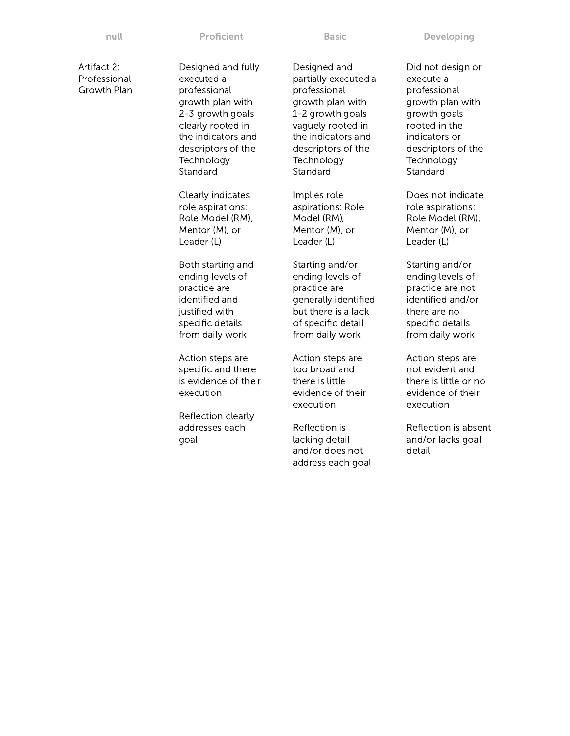null **Proficient Basic Developing** Proficient Basic **Developing** 

Artifact 2: Professional Growth Plan

Designed and fully executed a professional growth plan with 2-3 growth goals clearly rooted in the indicators and descriptors of the **Technology** Standard

Clearly indicates role aspirations: Role Model (RM), Mentor (M), or Leader (L)

Both starting and ending levels of practice are identified and justified with specific details from daily work

Action steps are specific and there is evidence of their execution

Reflection clearly addresses each goal

Designed and partially executed a professional growth plan with 1-2 growth goals vaguely rooted in the indicators and descriptors of the **Technology** Standard

Implies role aspirations: Role Model (RM), Mentor (M), or Leader (L)

Starting and/or ending levels of practice are generally identified but there is a lack of specific detail from daily work

Action steps are too broad and there is little evidence of their execution

Reflection is lacking detail and/or does not address each goal Did not design or execute a professional growth plan with growth goals rooted in the indicators or descriptors of the **Technology** Standard

Does not indicate role aspirations: Role Model (RM), Mentor (M), or Leader (L)

Starting and/or ending levels of practice are not identified and/or there are no specific details from daily work

Action steps are not evident and there is little or no evidence of their execution

Reflection is absent and/or lacks goal detail